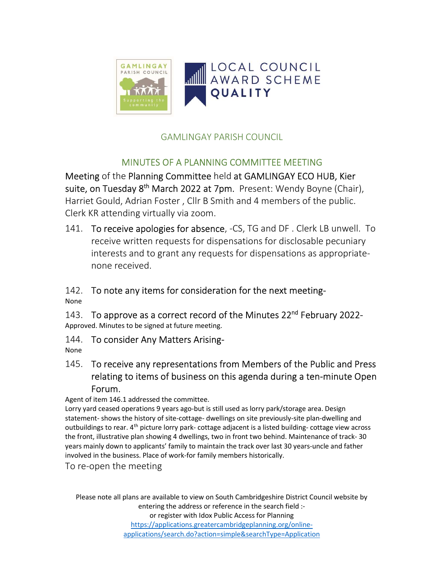

### GAMLINGAY PARISH COUNCIL

#### MINUTES OF A PLANNING COMMITTEE MEETING

Meeting of the Planning Committee held at GAMLINGAY ECO HUB, Kier suite, on Tuesday 8<sup>th</sup> March 2022 at 7pm. Present: Wendy Boyne (Chair), Harriet Gould, Adrian Foster , Cllr B Smith and 4 members of the public. Clerk KR attending virtually via zoom.

141. To receive apologies for absence, -CS, TG and DF. Clerk LB unwell. To receive written requests for dispensations for disclosable pecuniary interests and to grant any requests for dispensations as appropriatenone received.

# 142. To note any items for consideration for the next meeting-

None

143. To approve as a correct record of the Minutes 22<sup>nd</sup> February 2022-Approved. Minutes to be signed at future meeting.

144. To consider Any Matters Arising-

None

145. To receive any representations from Members of the Public and Press relating to items of business on this agenda during a ten-minute Open Forum.

Agent of item 146.1 addressed the committee.

Lorry yard ceased operations 9 years ago-but is still used as lorry park/storage area. Design statement- shows the history of site-cottage- dwellings on site previously-site plan-dwelling and outbuildings to rear. 4<sup>th</sup> picture lorry park- cottage adjacent is a listed building- cottage view across the front, illustrative plan showing 4 dwellings, two in front two behind. Maintenance of track- 30 years mainly down to applicants' family to maintain the track over last 30 years-uncle and father involved in the business. Place of work-for family members historically.

To re-open the meeting

Please note all plans are available to view on South Cambridgeshire District Council website by entering the address or reference in the search field :or register with Idox Public Access for Planning https://applications.greatercambridgeplanning.org/onlineapplications/search.do?action=simple&searchType=Application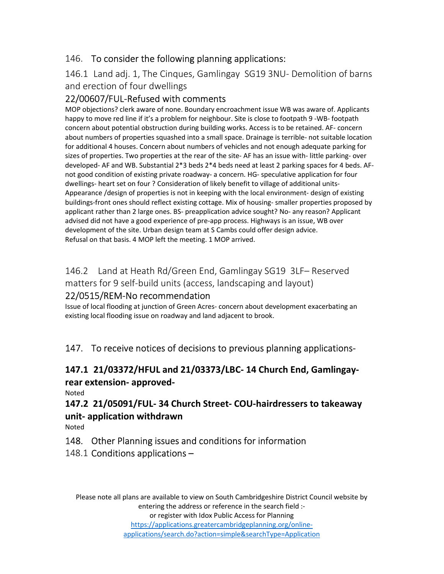#### 146. To consider the following planning applications:

#### 146.1 Land adj. 1, The Cinques, Gamlingay SG19 3NU- Demolition of barns and erection of four dwellings

#### 22/00607/FUL-Refused with comments

MOP objections? clerk aware of none. Boundary encroachment issue WB was aware of. Applicants happy to move red line if it's a problem for neighbour. Site is close to footpath 9 -WB- footpath concern about potential obstruction during building works. Access is to be retained. AF- concern about numbers of properties squashed into a small space. Drainage is terrible- not suitable location for additional 4 houses. Concern about numbers of vehicles and not enough adequate parking for sizes of properties. Two properties at the rear of the site- AF has an issue with- little parking- over developed- AF and WB. Substantial 2\*3 beds 2\*4 beds need at least 2 parking spaces for 4 beds. AFnot good condition of existing private roadway- a concern. HG- speculative application for four dwellings- heart set on four ? Consideration of likely benefit to village of additional units-Appearance /design of properties is not in keeping with the local environment- design of existing buildings-front ones should reflect existing cottage. Mix of housing- smaller properties proposed by applicant rather than 2 large ones. BS- preapplication advice sought? No- any reason? Applicant advised did not have a good experience of pre-app process. Highways is an issue, WB over development of the site. Urban design team at S Cambs could offer design advice. Refusal on that basis. 4 MOP left the meeting. 1 MOP arrived.

### 146.2 Land at Heath Rd/Green End, Gamlingay SG19 3LF– Reserved matters for 9 self-build units (access, landscaping and layout)

#### 22/0515/REM-No recommendation

Issue of local flooding at junction of Green Acres- concern about development exacerbating an existing local flooding issue on roadway and land adjacent to brook.

147. To receive notices of decisions to previous planning applications-

## 147.1 21/03372/HFUL and 21/03373/LBC- 14 Church End, Gamlingayrear extension- approved-

Noted

147.2 21/05091/FUL- 34 Church Street- COU-hairdressers to takeaway unit- application withdrawn

Noted

#### 148. Other Planning issues and conditions for information

#### 148.1 Conditions applications –

Please note all plans are available to view on South Cambridgeshire District Council website by entering the address or reference in the search field :-

or register with Idox Public Access for Planning https://applications.greatercambridgeplanning.org/online-

applications/search.do?action=simple&searchType=Application